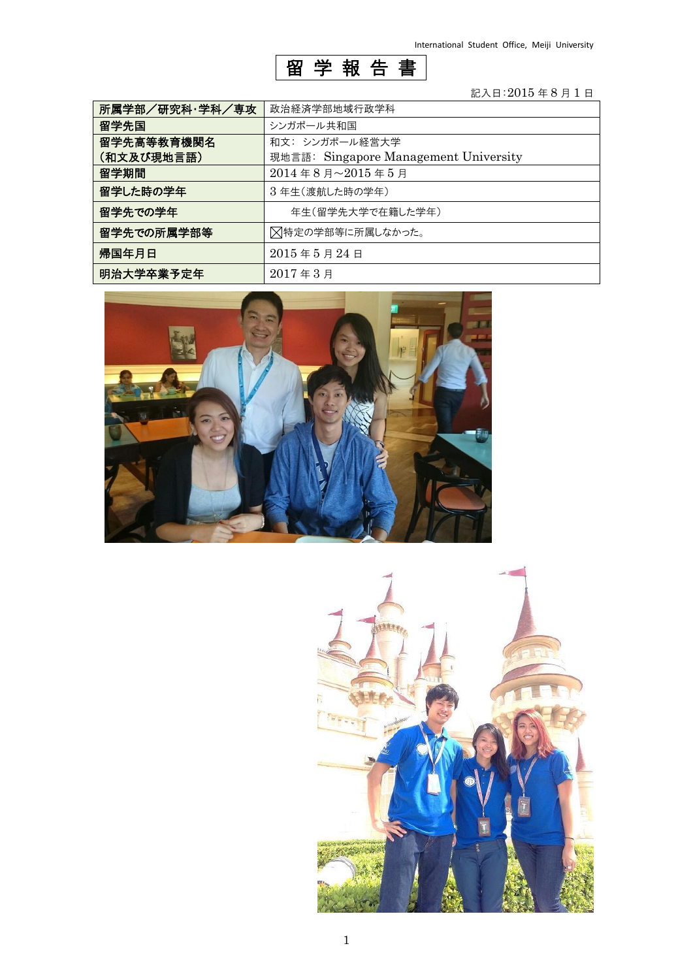

## 記入日:2015 年 8 月 1 日

| 所属学部/研究科·学科/専攻 | 政治経済学部地域行政学科                          |
|----------------|---------------------------------------|
| 留学先国           | シンガポール共和国                             |
| 留学先高等教育機関名     | 和文: シンガポール経営大学                        |
| (和文及び現地言語)     | 現地言語: Singapore Management University |
| 留学期間           | 2014年8月~2015年5月                       |
| 留学した時の学年       | 3年生(渡航した時の学年)                         |
| 留学先での学年        | 年生(留学先大学で在籍した学年)                      |
| 留学先での所属学部等     | ⊠特定の学部等に所属しなかった。                      |
| 帰国年月日          | $2015$ 年 $5$ 月 $24$ 日                 |
| 明治大学卒業予定年      | $2017 = 3 \text{ H}$                  |



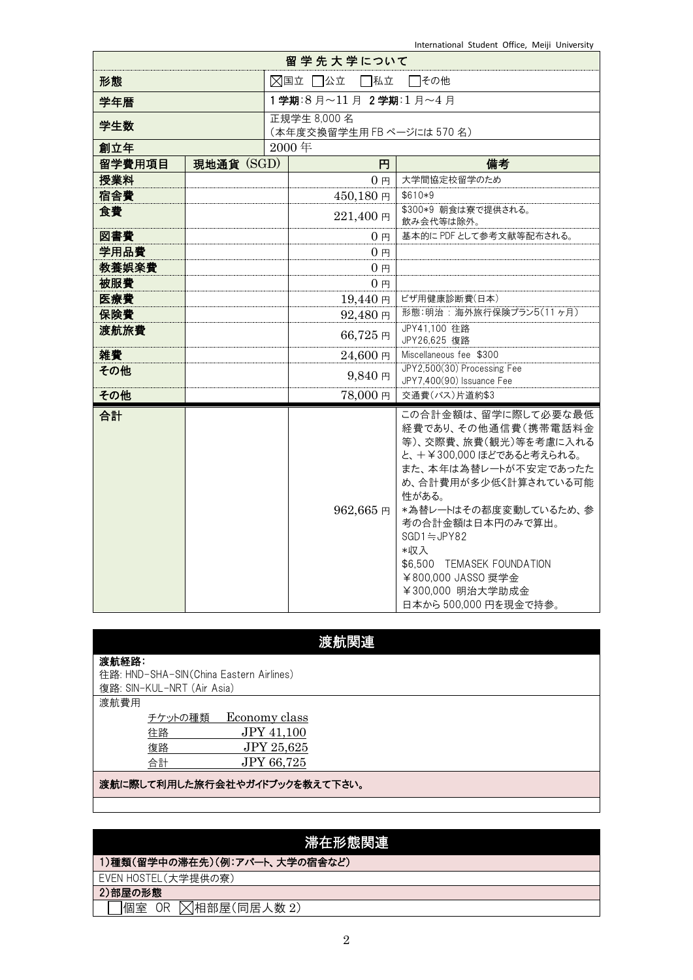|        |                        |  | 留学先大学について                                  |                                                                                                                                                                                                                                                                                                                                    |  |
|--------|------------------------|--|--------------------------------------------|------------------------------------------------------------------------------------------------------------------------------------------------------------------------------------------------------------------------------------------------------------------------------------------------------------------------------------|--|
| 形態     | ⊠国立 □公立<br>□私立<br>□その他 |  |                                            |                                                                                                                                                                                                                                                                                                                                    |  |
| 学年暦    |                        |  | 1学期:8月~11月 2学期:1月~4月                       |                                                                                                                                                                                                                                                                                                                                    |  |
| 学生数    |                        |  | 正規学生 8,000 名<br>(本年度交換留学生用 FB ページには 570 名) |                                                                                                                                                                                                                                                                                                                                    |  |
| 創立年    |                        |  | 2000年                                      |                                                                                                                                                                                                                                                                                                                                    |  |
| 留学費用項目 | 現地通貨 (SGD)             |  | 円                                          | 備考                                                                                                                                                                                                                                                                                                                                 |  |
| 授業料    |                        |  | 0 <sub>H</sub>                             | 大学間協定校留学のため                                                                                                                                                                                                                                                                                                                        |  |
| 宿舎費    |                        |  | 450,180円                                   | \$610*9                                                                                                                                                                                                                                                                                                                            |  |
| 食費     |                        |  | 221,400円                                   | \$300*9 朝食は寮で提供される。<br>飲み会代等は除外。                                                                                                                                                                                                                                                                                                   |  |
| 図書費    |                        |  | $0 \, \text{F}$                            | 基本的に PDF として参考文献等配布される。                                                                                                                                                                                                                                                                                                            |  |
| 学用品費   |                        |  | 0 <sub>H</sub>                             |                                                                                                                                                                                                                                                                                                                                    |  |
| 教養娯楽費  |                        |  | 0 <sub>H</sub>                             |                                                                                                                                                                                                                                                                                                                                    |  |
| 被服費    |                        |  | 0 <sub>H</sub>                             |                                                                                                                                                                                                                                                                                                                                    |  |
| 医療費    |                        |  | 19,440円                                    | ビザ用健康診断費(日本)                                                                                                                                                                                                                                                                                                                       |  |
| 保険費    |                        |  | 92,480円                                    | 形態:明治: 海外旅行保険プラン5(11ヶ月)                                                                                                                                                                                                                                                                                                            |  |
| 渡航旅費   |                        |  | 66,725円                                    | JPY41.100 往路<br>JPY26,625 復路                                                                                                                                                                                                                                                                                                       |  |
| 雑費     |                        |  | 24,600円                                    | Miscellaneous fee \$300                                                                                                                                                                                                                                                                                                            |  |
| その他    |                        |  | $9,840 \; \text{Pl}$                       | JPY2,500(30) Processing Fee<br>JPY7,400(90) Issuance Fee                                                                                                                                                                                                                                                                           |  |
| その他    |                        |  | 78,000円                                    | 交通費(バス)片道約\$3                                                                                                                                                                                                                                                                                                                      |  |
| 合計     |                        |  | 962,665円                                   | この合計金額は、留学に際して必要な最低<br>経費であり、その他通信費(携帯電話料金<br>等)、交際費、旅費(観光)等を考慮に入れる<br>と、+¥300,000 ほどであると考えられる。<br>また、本年は為替レートが不安定であったた<br>め、合計費用が多少低く計算されている可能<br>性がある。<br>*為替レートはその都度変動しているため、参<br>考の合計金額は日本円のみで算出。<br>$SGD1 \doteq JPY82$<br>*収入<br>\$6,500 TEMASEK FOUNDATION<br>¥800,000 JASSO 奨学金<br>¥300,000 明治大学助成金<br>日本から500,000円を現金で持参。 |  |

| 渡航関 |  |
|-----|--|

|       |                                         |                               | <b>必加川内走</b> |
|-------|-----------------------------------------|-------------------------------|--------------|
| 渡航経路: |                                         |                               |              |
|       | 往路: HND-SHA-SIN(China Eastern Airlines) |                               |              |
|       | 復路: SIN-KUL-NRT (Air Asia)              |                               |              |
| 渡航費用  |                                         |                               |              |
|       | チケットの種類                                 | Economy class                 |              |
|       | 往路                                      | <b>JPY 41,100</b>             |              |
|       | 復路                                      | JPY 25,625                    |              |
|       | 合計                                      | <b>JPY 66,725</b>             |              |
|       |                                         | 渡航に際して利用した旅行会社やガイドブックを教えて下さい。 |              |

# 滞在形態関連

1)種類(留学中の滞在先)(例:アパート、大学の宿舎など)

EVEN HOSTEL(大学提供の寮)

2)部屋の形態

 $\sqrt{\frac{1}{2}}$ 個室 OR  $\sqrt{\frac{1}{2}}$ 相部屋(同居人数 2)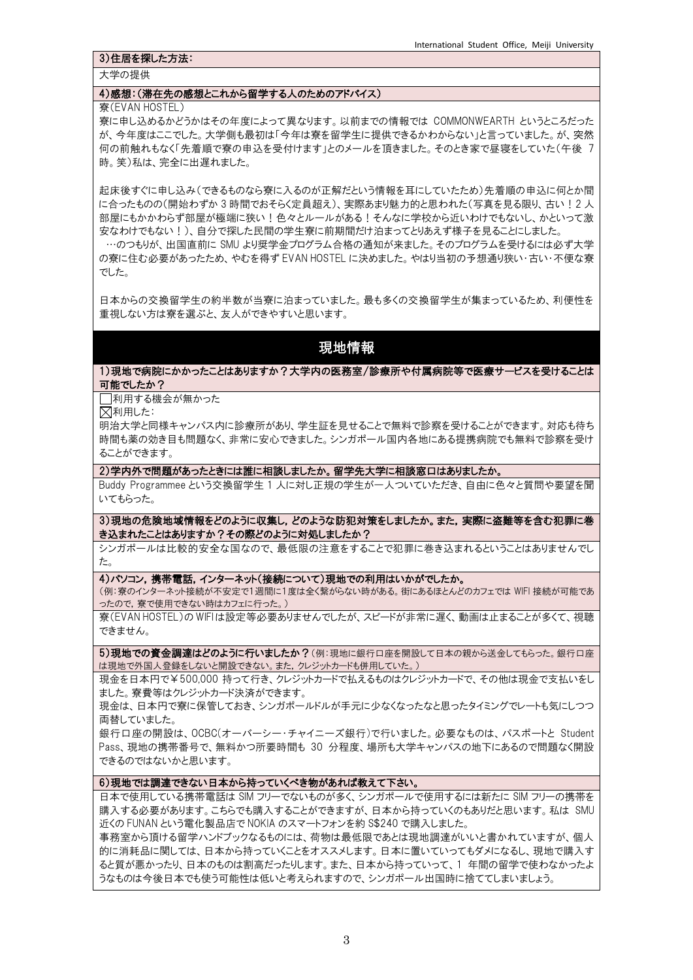#### 3)住居を探した方法:

大学の提供

#### 4)感想:(滞在先の感想とこれから留学する人のためのアドバイス)

#### 寮(EVAN HOSTEL)

寮に申し込めるかどうかはその年度によって異なります。以前までの情報では COMMONWEARTH というところだった が、今年度はここでした。大学側も最初は「今年は寮を留学生に提供できるかわからない」と言っていました。が、突然 何の前触れもなく「先着順で寮の申込を受付けます」とのメールを頂きました。そのとき家で昼寝をしていた(午後 7 時。笑)私は、完全に出遅れました。

起床後すぐに申し込み(できるものなら寮に入るのが正解だという情報を耳にしていたため)先着順の申込に何とか間 に合ったものの(開始わずか 3 時間でおそらく定員超え)、実際あまり魅力的と思われた(写真を見る限り、古い!2 人 部屋にもかかわらず部屋が極端に狭い!色々とルールがある!そんなに学校から近いわけでもないし、かといって激 安なわけでもない!)、自分で探した民間の学生寮に前期間だけ泊まってとりあえず様子を見ることにしました。

…のつもりが、出国直前に SMU より奨学金プログラム合格の通知が来ました。そのプログラムを受けるには必ず大学 の寮に住む必要があったため、やむを得ず EVAN HOSTEL に決めました。やはり当初の予想通り狭い・古い・不便な寮 でした。

日本からの交換留学生の約半数が当寮に泊まっていました。最も多くの交換留学生が集まっているため、利便性を 重視しない方は寮を選ぶと、友人ができやすいと思います。

### 現地情報

#### 1)現地で病院にかかったことはありますか?大学内の医務室/診療所や付属病院等で医療サービスを受けることは 可能でしたか?

□利用する機会が無かった

利用した:

明治大学と同様キャンパス内に診療所があり、学生証を見せることで無料で診察を受けることができます。対応も待ち 時間も薬の効き目も問題なく、非常に安心できました。シンガポール国内各地にある提携病院でも無料で診察を受け ることができます。

2)学内外で問題があったときには誰に相談しましたか。留学先大学に相談窓口はありましたか。

Buddy Programmee という交換留学生 1 人に対し正規の学生が一人ついていただき、自由に色々と質問や要望を聞 いてもらった。

3)現地の危険地域情報をどのように収集し,どのような防犯対策をしましたか。また,実際に盗難等を含む犯罪に巻 き込まれたことはありますか?その際どのように対処しましたか?

シンガポールは比較的安全な国なので、最低限の注意をすることで犯罪に巻き込まれるということはありませんでし た。

#### 4)パソコン,携帯電話,インターネット(接続について)現地での利用はいかがでしたか。

(例:寮のインターネット接続が不安定で1週間に1度は全く繋がらない時がある。街にあるほとんどのカフェでは WIFI 接続が可能であ ったので,寮で使用できない時はカフェに行った。)

寮(EVAN HOSTEL)の WIFI は設定等必要ありませんでしたが、スピードが非常に遅く、動画は止まることが多くて、視聴 できません。

5)現地での資金調達はどのように行いましたか?(例:現地に銀行口座を開設して日本の親から送金してもらった。銀行口座 は現地で外国人登録をしないと開設できない。また,クレジットカードも併用していた。)

現金を日本円で¥500,000 持って行き、クレジットカードで払えるものはクレジットカードで、その他は現金で支払いをし ました。寮費等はクレジットカード決済ができます。

現金は、日本円で寮に保管しておき、シンガポールドルが手元に少なくなったなと思ったタイミングでレートも気にしつつ 両替していました。

銀行口座の開設は、OCBC(オーバーシー・チャイニーズ銀行)で行いました。必要なものは、パスポートと Student Pass、現地の携帯番号で、無料かつ所要時間も 30 分程度、場所も大学キャンパスの地下にあるので問題なく開設 できるのではないかと思います。

#### 6)現地では調達できない日本から持っていくべき物があれば教えて下さい。

日本で使用している携帯電話は SIM フリーでないものが多く、シンガポールで使用するには新たに SIM フリーの携帯を 購入する必要があります。こちらでも購入することができますが、日本から持っていくのもありだと思います。私は SMU 近くの FUNAN という電化製品店で NOKIA のスマートフォンを約 S\$240 で購入しました。

事務室から頂ける留学ハンドブックなるものには、荷物は最低限であとは現地調達がいいと書かれていますが、個人 的に消耗品に関しては、日本から持っていくことをオススメします。日本に置いていってもダメになるし、現地で購入す ると質が悪かったり、日本のものは割高だったりします。また、日本から持っていって、1 年間の留学で使わなかったよ うなものは今後日本でも使う可能性は低いと考えられますので、シンガポール出国時に捨ててしまいましょう。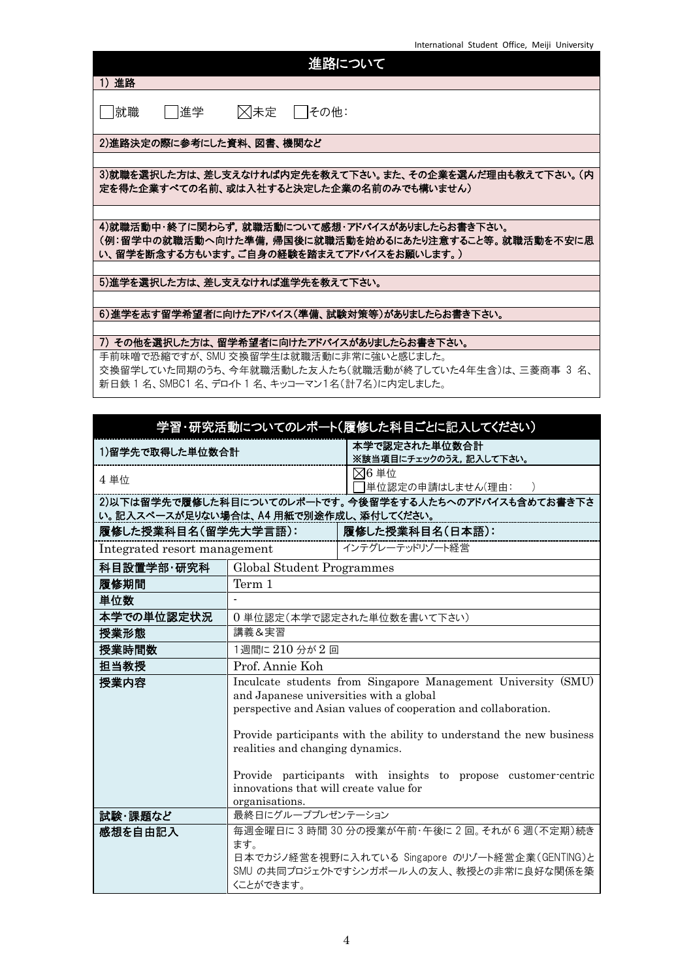| 進路について                                                                                                                                            |
|---------------------------------------------------------------------------------------------------------------------------------------------------|
| 1)進路                                                                                                                                              |
| ⊠未定<br>就職<br> 進学<br>  その他:                                                                                                                        |
| 2)進路決定の際に参考にした資料、図書、機関など                                                                                                                          |
|                                                                                                                                                   |
| 3)就職を選択した方は、差し支えなければ内定先を教えて下さい。また、その企業を選んだ理由も教えて下さい。(内<br>定を得た企業すべての名前、或は入社すると決定した企業の名前のみでも構いません)                                                 |
|                                                                                                                                                   |
| 4)就職活動中・終了に関わらず.就職活動について感想・アドバイスがありましたらお書き下さい。<br>(例:留学中の就職活動へ向けた準備.帰国後に就職活動を始めるにあたり注意すること等。就職活動を不安に思<br>い、留学を断念する方もいます。ご自身の経験を踏まえてアドバイスをお願いします。) |
|                                                                                                                                                   |
| 5)進学を選択した方は、差し支えなければ進学先を教えて下さい。                                                                                                                   |
|                                                                                                                                                   |
| 6)進学を志す留学希望者に向けたアドバイス(準備、試験対策等)がありましたらお書き下さい。                                                                                                     |

#### 7) その他を選択した方は、留学希望者に向けたアドバイスがありましたらお書き下さい。

手前味噌で恐縮ですが、SMU 交換留学生は就職活動に非常に強いと感じました。 交換留学していた同期のうち、今年就職活動した友人たち(就職活動が終了していた4年生含)は、三菱商事 3 名、 新日鉄 1 名、SMBC1 名、デロイト 1 名、キッコーマン1名(計7名)に内定しました。

| 学習・研究活動についてのレポート(履修した科目ごとに記入してください)    |                                                                                                           |                                                               |  |
|----------------------------------------|-----------------------------------------------------------------------------------------------------------|---------------------------------------------------------------|--|
| 1)留学先で取得した単位数合計                        |                                                                                                           | 本学で認定された単位数合計<br>※該当項目にチェックのうえ、記入して下さい。                       |  |
| 4 単位                                   |                                                                                                           | $\boxtimes 6$ 単位<br>単位認定の申請はしません(理由: )                        |  |
| い。記入スペースが足りない場合は、A4 用紙で別途作成し、添付してください。 |                                                                                                           | 2)以下は留学先で履修した科目についてのレポートです。今後留学をする人たちへのアドバイスも含めてお書き下さ         |  |
| 履修した授業科目名(留学先大学言語):                    |                                                                                                           | 履修した授業科目名(日本語):                                               |  |
| Integrated resort management           |                                                                                                           | オンテグレーテッドリゾート経営                                               |  |
| 科目設置学部・研究科                             | Global Student Programmes                                                                                 |                                                               |  |
| 履修期間                                   | Term 1                                                                                                    |                                                               |  |
| 単位数                                    |                                                                                                           |                                                               |  |
| 本学での単位認定状況                             |                                                                                                           | 0単位認定(本学で認定された単位数を書いて下さい)                                     |  |
| 授業形態                                   | 講義&実習                                                                                                     |                                                               |  |
| 授業時間数                                  | 1週間に210分が2回                                                                                               |                                                               |  |
| 担当教授                                   | Prof. Annie Koh                                                                                           |                                                               |  |
| 授業内容                                   |                                                                                                           | Inculcate students from Singapore Management University (SMU) |  |
|                                        | and Japanese universities with a global<br>perspective and Asian values of cooperation and collaboration. |                                                               |  |
|                                        |                                                                                                           |                                                               |  |
|                                        | Provide participants with the ability to understand the new business                                      |                                                               |  |
|                                        | realities and changing dynamics.                                                                          |                                                               |  |
|                                        | Provide participants with insights to propose customer-centric                                            |                                                               |  |
|                                        | innovations that will create value for                                                                    |                                                               |  |
|                                        | organisations.                                                                                            |                                                               |  |
| 試験 課題など                                | 最終日にグループプレゼンテーション                                                                                         |                                                               |  |
| 感想を自由記入                                | ます。                                                                                                       | 毎週金曜日に3時間30分の授業が午前・午後に2回。それが6週(不定期)続き                         |  |
|                                        |                                                                                                           | 日本でカジノ経営を視野に入れている Singapore のリゾート経営企業(GENTING)と               |  |
|                                        |                                                                                                           | SMU の共同プロジェクトですシンガポール人の友人、教授との非常に良好な関係を築                      |  |
|                                        | くことができます。                                                                                                 |                                                               |  |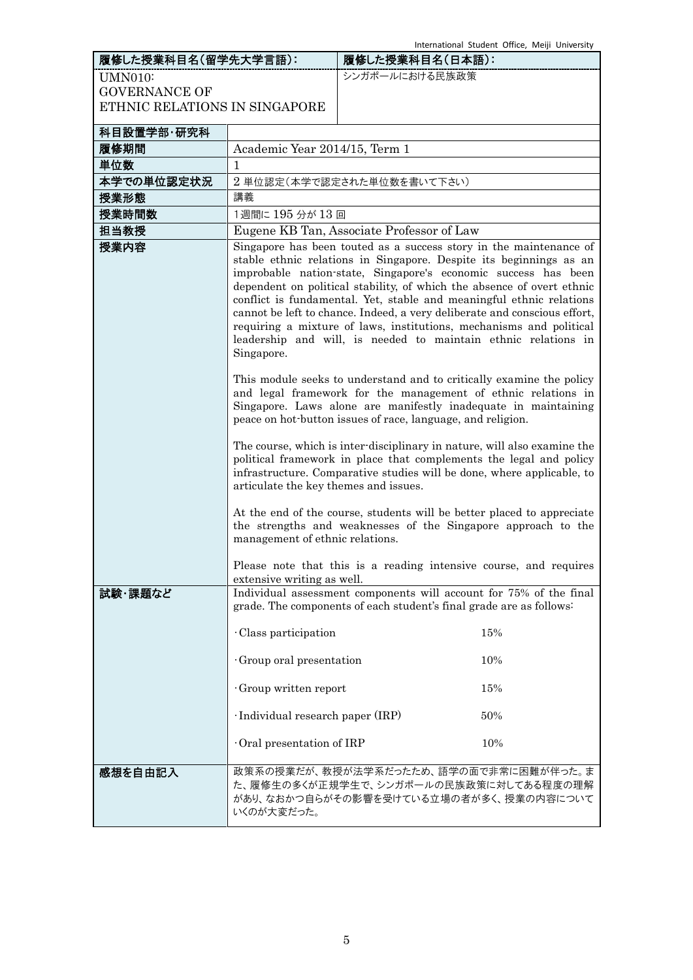| 履修した授業科目名(留学先大学言語):           |                                                               | 履修した授業科目名(日本語):                                                                                                                                                                                                                                                                                                                                                                                                                                                                                                                                                                                                                                                                                                                                                                                                                                                                                                                                                                                                                                                                          | International Student Office, Meiji University |
|-------------------------------|---------------------------------------------------------------|------------------------------------------------------------------------------------------------------------------------------------------------------------------------------------------------------------------------------------------------------------------------------------------------------------------------------------------------------------------------------------------------------------------------------------------------------------------------------------------------------------------------------------------------------------------------------------------------------------------------------------------------------------------------------------------------------------------------------------------------------------------------------------------------------------------------------------------------------------------------------------------------------------------------------------------------------------------------------------------------------------------------------------------------------------------------------------------|------------------------------------------------|
| <b>UMN010:</b>                |                                                               | シンガポールにおける民族政策                                                                                                                                                                                                                                                                                                                                                                                                                                                                                                                                                                                                                                                                                                                                                                                                                                                                                                                                                                                                                                                                           |                                                |
| <b>GOVERNANCE OF</b>          |                                                               |                                                                                                                                                                                                                                                                                                                                                                                                                                                                                                                                                                                                                                                                                                                                                                                                                                                                                                                                                                                                                                                                                          |                                                |
| ETHNIC RELATIONS IN SINGAPORE |                                                               |                                                                                                                                                                                                                                                                                                                                                                                                                                                                                                                                                                                                                                                                                                                                                                                                                                                                                                                                                                                                                                                                                          |                                                |
| 科目設置学部·研究科                    |                                                               |                                                                                                                                                                                                                                                                                                                                                                                                                                                                                                                                                                                                                                                                                                                                                                                                                                                                                                                                                                                                                                                                                          |                                                |
| 履修期間                          | Academic Year 2014/15, Term 1                                 |                                                                                                                                                                                                                                                                                                                                                                                                                                                                                                                                                                                                                                                                                                                                                                                                                                                                                                                                                                                                                                                                                          |                                                |
| 単位数                           | $\mathbf{1}$                                                  |                                                                                                                                                                                                                                                                                                                                                                                                                                                                                                                                                                                                                                                                                                                                                                                                                                                                                                                                                                                                                                                                                          |                                                |
| 本学での単位認定状況                    |                                                               | 2 単位認定(本学で認定された単位数を書いて下さい)                                                                                                                                                                                                                                                                                                                                                                                                                                                                                                                                                                                                                                                                                                                                                                                                                                                                                                                                                                                                                                                               |                                                |
| 授業形態                          | 講義                                                            |                                                                                                                                                                                                                                                                                                                                                                                                                                                                                                                                                                                                                                                                                                                                                                                                                                                                                                                                                                                                                                                                                          |                                                |
| 授業時間数                         | 1週間に195分が13回                                                  |                                                                                                                                                                                                                                                                                                                                                                                                                                                                                                                                                                                                                                                                                                                                                                                                                                                                                                                                                                                                                                                                                          |                                                |
| 担当教授                          |                                                               | Eugene KB Tan, Associate Professor of Law                                                                                                                                                                                                                                                                                                                                                                                                                                                                                                                                                                                                                                                                                                                                                                                                                                                                                                                                                                                                                                                |                                                |
| 授業内容                          | Singapore.<br>articulate the key themes and issues.           | Singapore has been touted as a success story in the maintenance of<br>stable ethnic relations in Singapore. Despite its beginnings as an<br>improbable nation-state, Singapore's economic success has been<br>dependent on political stability, of which the absence of overt ethnic<br>conflict is fundamental. Yet, stable and meaningful ethnic relations<br>cannot be left to chance. Indeed, a very deliberate and conscious effort,<br>requiring a mixture of laws, institutions, mechanisms and political<br>leadership and will, is needed to maintain ethnic relations in<br>This module seeks to understand and to critically examine the policy<br>and legal framework for the management of ethnic relations in<br>Singapore. Laws alone are manifestly inadequate in maintaining<br>peace on hot-button issues of race, language, and religion.<br>The course, which is inter-disciplinary in nature, will also examine the<br>political framework in place that complements the legal and policy<br>infrastructure. Comparative studies will be done, where applicable, to |                                                |
|                               | management of ethnic relations.<br>extensive writing as well. | At the end of the course, students will be better placed to appreciate<br>the strengths and weaknesses of the Singapore approach to the<br>Please note that this is a reading intensive course, and requires                                                                                                                                                                                                                                                                                                                                                                                                                                                                                                                                                                                                                                                                                                                                                                                                                                                                             |                                                |
| 試験 課題など                       |                                                               | Individual assessment components will account for 75% of the final<br>grade. The components of each student's final grade are as follows:                                                                                                                                                                                                                                                                                                                                                                                                                                                                                                                                                                                                                                                                                                                                                                                                                                                                                                                                                |                                                |
|                               | Class participation                                           |                                                                                                                                                                                                                                                                                                                                                                                                                                                                                                                                                                                                                                                                                                                                                                                                                                                                                                                                                                                                                                                                                          | 15%                                            |
|                               | Group oral presentation                                       |                                                                                                                                                                                                                                                                                                                                                                                                                                                                                                                                                                                                                                                                                                                                                                                                                                                                                                                                                                                                                                                                                          | 10%                                            |
|                               | Group written report                                          |                                                                                                                                                                                                                                                                                                                                                                                                                                                                                                                                                                                                                                                                                                                                                                                                                                                                                                                                                                                                                                                                                          | 15%                                            |
|                               | ·Individual research paper (IRP)                              |                                                                                                                                                                                                                                                                                                                                                                                                                                                                                                                                                                                                                                                                                                                                                                                                                                                                                                                                                                                                                                                                                          | 50%                                            |
|                               | $\cdot$ Oral presentation of IRP                              |                                                                                                                                                                                                                                                                                                                                                                                                                                                                                                                                                                                                                                                                                                                                                                                                                                                                                                                                                                                                                                                                                          | 10%                                            |
| 感想を自由記入                       | いくのが大変だった。                                                    | 政策系の授業だが、教授が法学系だったため、語学の面で非常に困難が伴った。ま<br>た、履修生の多くが正規学生で、シンガポールの民族政策に対してある程度の理解<br>があり、なおかつ自らがその影響を受けている立場の者が多く、授業の内容について                                                                                                                                                                                                                                                                                                                                                                                                                                                                                                                                                                                                                                                                                                                                                                                                                                                                                                                                                                 |                                                |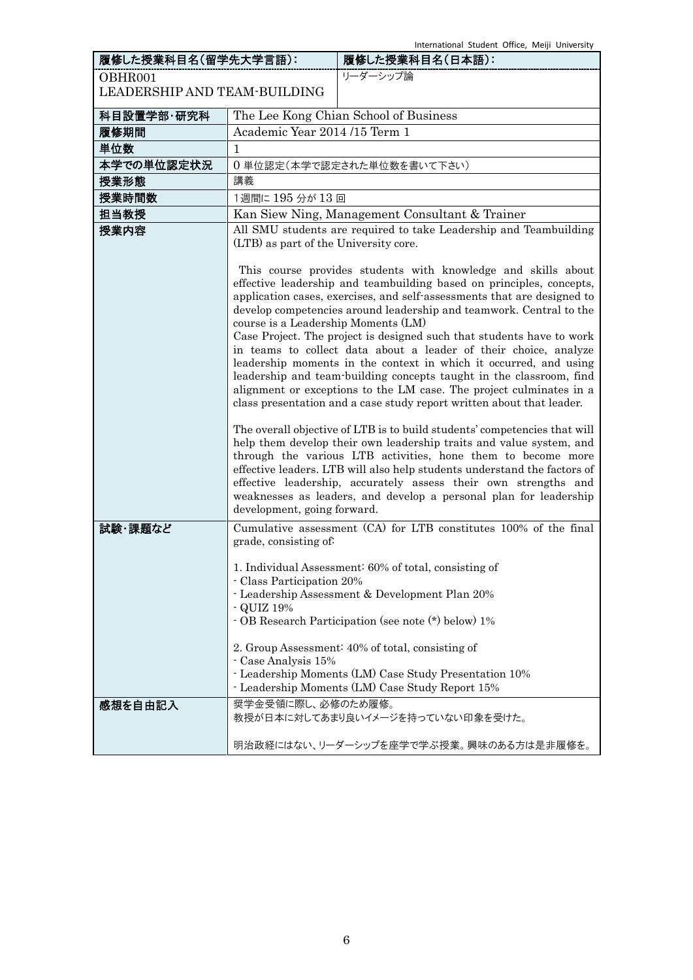| 履修した授業科目名(留学先大学言語):          |                                                                  | 履修した授業科目名(日本語):                                                                                                                                                                                                                                                                                                                                                                                                                                                                                                                                                                                                                                                                                                                                                                                                                                                                                                                                                                                                                                                                                     |
|------------------------------|------------------------------------------------------------------|-----------------------------------------------------------------------------------------------------------------------------------------------------------------------------------------------------------------------------------------------------------------------------------------------------------------------------------------------------------------------------------------------------------------------------------------------------------------------------------------------------------------------------------------------------------------------------------------------------------------------------------------------------------------------------------------------------------------------------------------------------------------------------------------------------------------------------------------------------------------------------------------------------------------------------------------------------------------------------------------------------------------------------------------------------------------------------------------------------|
| OBHR001                      |                                                                  | リーダーシップ論                                                                                                                                                                                                                                                                                                                                                                                                                                                                                                                                                                                                                                                                                                                                                                                                                                                                                                                                                                                                                                                                                            |
| LEADERSHIP AND TEAM-BUILDING |                                                                  |                                                                                                                                                                                                                                                                                                                                                                                                                                                                                                                                                                                                                                                                                                                                                                                                                                                                                                                                                                                                                                                                                                     |
| 科目設置学部·研究科                   |                                                                  | The Lee Kong Chian School of Business                                                                                                                                                                                                                                                                                                                                                                                                                                                                                                                                                                                                                                                                                                                                                                                                                                                                                                                                                                                                                                                               |
| 履修期間                         | Academic Year 2014 /15 Term 1                                    |                                                                                                                                                                                                                                                                                                                                                                                                                                                                                                                                                                                                                                                                                                                                                                                                                                                                                                                                                                                                                                                                                                     |
| 単位数                          | 1                                                                |                                                                                                                                                                                                                                                                                                                                                                                                                                                                                                                                                                                                                                                                                                                                                                                                                                                                                                                                                                                                                                                                                                     |
| 本学での単位認定状況                   |                                                                  | 0単位認定(本学で認定された単位数を書いて下さい)                                                                                                                                                                                                                                                                                                                                                                                                                                                                                                                                                                                                                                                                                                                                                                                                                                                                                                                                                                                                                                                                           |
| 授業形態                         | 講義                                                               |                                                                                                                                                                                                                                                                                                                                                                                                                                                                                                                                                                                                                                                                                                                                                                                                                                                                                                                                                                                                                                                                                                     |
| 授業時間数                        | 1週間に195分が13回                                                     |                                                                                                                                                                                                                                                                                                                                                                                                                                                                                                                                                                                                                                                                                                                                                                                                                                                                                                                                                                                                                                                                                                     |
| 担当教授                         |                                                                  | Kan Siew Ning, Management Consultant & Trainer                                                                                                                                                                                                                                                                                                                                                                                                                                                                                                                                                                                                                                                                                                                                                                                                                                                                                                                                                                                                                                                      |
| 授業内容                         | (LTB) as part of the University core.                            | All SMU students are required to take Leadership and Teambuilding                                                                                                                                                                                                                                                                                                                                                                                                                                                                                                                                                                                                                                                                                                                                                                                                                                                                                                                                                                                                                                   |
|                              | course is a Leadership Moments (LM)                              | This course provides students with knowledge and skills about<br>effective leadership and teambuilding based on principles, concepts,<br>application cases, exercises, and self-assessments that are designed to<br>develop competencies around leadership and teamwork. Central to the<br>Case Project. The project is designed such that students have to work<br>in teams to collect data about a leader of their choice, analyze<br>leadership moments in the context in which it occurred, and using<br>leadership and team-building concepts taught in the classroom, find<br>alignment or exceptions to the LM case. The project culminates in a<br>class presentation and a case study report written about that leader.<br>The overall objective of LTB is to build students' competencies that will<br>help them develop their own leadership traits and value system, and<br>through the various LTB activities, hone them to become more<br>effective leaders. LTB will also help students understand the factors of<br>effective leadership, accurately assess their own strengths and |
| 試験 課題など                      | development, going forward.                                      | weaknesses as leaders, and develop a personal plan for leadership<br>Cumulative assessment (CA) for LTB constitutes 100% of the final                                                                                                                                                                                                                                                                                                                                                                                                                                                                                                                                                                                                                                                                                                                                                                                                                                                                                                                                                               |
|                              | grade, consisting of:<br>- Class Participation 20%<br>- QUIZ 19% | 1. Individual Assessment: 60% of total, consisting of<br>- Leadership Assessment & Development Plan 20%<br>- OB Research Participation (see note (*) below) 1%<br>2. Group Assessment: 40% of total, consisting of                                                                                                                                                                                                                                                                                                                                                                                                                                                                                                                                                                                                                                                                                                                                                                                                                                                                                  |
|                              | - Case Analysis 15%                                              | - Leadership Moments (LM) Case Study Presentation 10%<br>- Leadership Moments (LM) Case Study Report 15%                                                                                                                                                                                                                                                                                                                                                                                                                                                                                                                                                                                                                                                                                                                                                                                                                                                                                                                                                                                            |
| 感想を自由記入                      | 奨学金受領に際し、必修のため履修。                                                | 教授が日本に対してあまり良いイメージを持っていない印象を受けた。                                                                                                                                                                                                                                                                                                                                                                                                                                                                                                                                                                                                                                                                                                                                                                                                                                                                                                                                                                                                                                                                    |
|                              |                                                                  | 明治政経にはない、リーダーシップを座学で学ぶ授業。興味のある方は是非履修を。                                                                                                                                                                                                                                                                                                                                                                                                                                                                                                                                                                                                                                                                                                                                                                                                                                                                                                                                                                                                                                                              |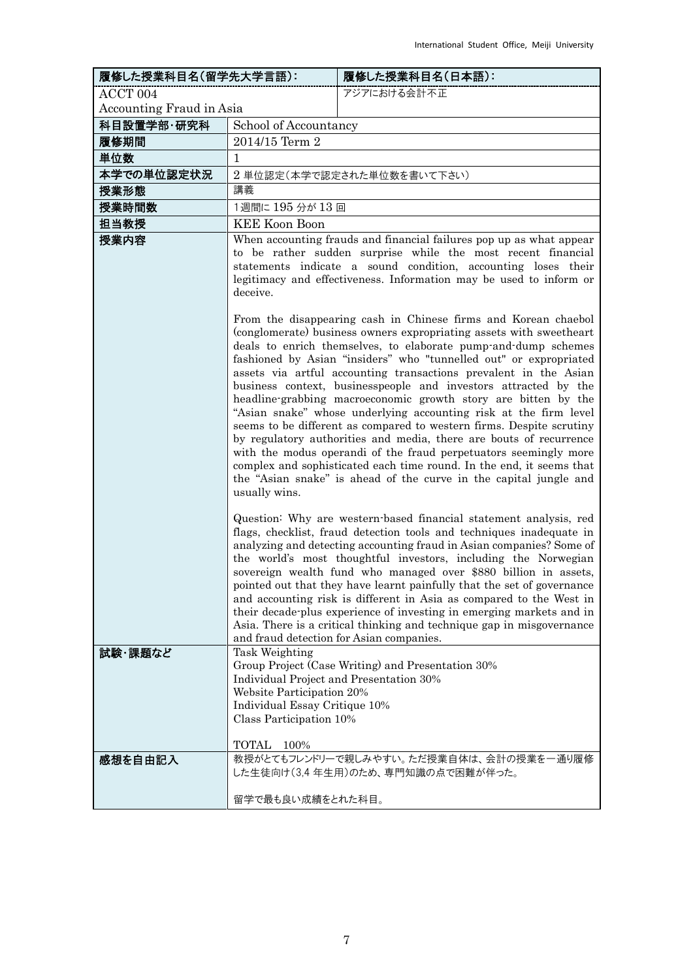| 履修した授業科目名(留学先大学言語):      |                                                                                                                                                                                                                                                                                                                                                                                                                                                                                                                                                                                       | 履修した授業科目名(日本語):                                                                                                                                                                                                                                                                                                                                                                                                                                                                                                                                                                                                                                          |  |
|--------------------------|---------------------------------------------------------------------------------------------------------------------------------------------------------------------------------------------------------------------------------------------------------------------------------------------------------------------------------------------------------------------------------------------------------------------------------------------------------------------------------------------------------------------------------------------------------------------------------------|----------------------------------------------------------------------------------------------------------------------------------------------------------------------------------------------------------------------------------------------------------------------------------------------------------------------------------------------------------------------------------------------------------------------------------------------------------------------------------------------------------------------------------------------------------------------------------------------------------------------------------------------------------|--|
| ACCT 004                 |                                                                                                                                                                                                                                                                                                                                                                                                                                                                                                                                                                                       | アジアにおける会計不正                                                                                                                                                                                                                                                                                                                                                                                                                                                                                                                                                                                                                                              |  |
| Accounting Fraud in Asia |                                                                                                                                                                                                                                                                                                                                                                                                                                                                                                                                                                                       |                                                                                                                                                                                                                                                                                                                                                                                                                                                                                                                                                                                                                                                          |  |
| 科目設置学部·研究科               |                                                                                                                                                                                                                                                                                                                                                                                                                                                                                                                                                                                       | School of Accountancy                                                                                                                                                                                                                                                                                                                                                                                                                                                                                                                                                                                                                                    |  |
| 履修期間                     | 2014/15 Term 2                                                                                                                                                                                                                                                                                                                                                                                                                                                                                                                                                                        |                                                                                                                                                                                                                                                                                                                                                                                                                                                                                                                                                                                                                                                          |  |
| 単位数                      | 1                                                                                                                                                                                                                                                                                                                                                                                                                                                                                                                                                                                     |                                                                                                                                                                                                                                                                                                                                                                                                                                                                                                                                                                                                                                                          |  |
| 本学での単位認定状況               |                                                                                                                                                                                                                                                                                                                                                                                                                                                                                                                                                                                       | 2 単位認定(本学で認定された単位数を書いて下さい)                                                                                                                                                                                                                                                                                                                                                                                                                                                                                                                                                                                                                               |  |
| 授業形態                     | 講義                                                                                                                                                                                                                                                                                                                                                                                                                                                                                                                                                                                    |                                                                                                                                                                                                                                                                                                                                                                                                                                                                                                                                                                                                                                                          |  |
| 授業時間数                    | 1週間に 195 分が 13 回                                                                                                                                                                                                                                                                                                                                                                                                                                                                                                                                                                      |                                                                                                                                                                                                                                                                                                                                                                                                                                                                                                                                                                                                                                                          |  |
| 担当教授                     | <b>KEE Koon Boon</b>                                                                                                                                                                                                                                                                                                                                                                                                                                                                                                                                                                  |                                                                                                                                                                                                                                                                                                                                                                                                                                                                                                                                                                                                                                                          |  |
| 授業内容                     |                                                                                                                                                                                                                                                                                                                                                                                                                                                                                                                                                                                       | When accounting frauds and financial failures pop up as what appear<br>to be rather sudden surprise while the most recent financial<br>statements indicate a sound condition, accounting loses their                                                                                                                                                                                                                                                                                                                                                                                                                                                     |  |
|                          | deceive.                                                                                                                                                                                                                                                                                                                                                                                                                                                                                                                                                                              | legitimacy and effectiveness. Information may be used to inform or<br>From the disappearing cash in Chinese firms and Korean chaebol                                                                                                                                                                                                                                                                                                                                                                                                                                                                                                                     |  |
|                          | (conglomerate) business owners expropriating assets with sweetheart<br>deals to enrich themselves, to elaborate pump-and-dump schemes<br>fashioned by Asian "insiders" who "tunnelled out" or expropriated<br>assets via artful accounting transactions prevalent in the Asian                                                                                                                                                                                                                                                                                                        |                                                                                                                                                                                                                                                                                                                                                                                                                                                                                                                                                                                                                                                          |  |
|                          | business context, businesspeople and investors attracted by the<br>headline-grabbing macroeconomic growth story are bitten by the<br>"Asian snake" whose underlying accounting risk at the firm level<br>seems to be different as compared to western firms. Despite scrutiny<br>by regulatory authorities and media, there are bouts of recurrence<br>with the modus operandi of the fraud perpetuators seemingly more<br>complex and sophisticated each time round. In the end, it seems that<br>the "Asian snake" is ahead of the curve in the capital jungle and<br>usually wins. |                                                                                                                                                                                                                                                                                                                                                                                                                                                                                                                                                                                                                                                          |  |
|                          | and fraud detection for Asian companies.                                                                                                                                                                                                                                                                                                                                                                                                                                                                                                                                              | Question: Why are western-based financial statement analysis, red<br>flags, checklist, fraud detection tools and techniques inadequate in<br>analyzing and detecting accounting fraud in Asian companies? Some of<br>the world's most thoughtful investors, including the Norwegian<br>sovereign wealth fund who managed over \$880 billion in assets,<br>pointed out that they have learnt painfully that the set of governance<br>and accounting risk is different in Asia as compared to the West in<br>their decade plus experience of investing in emerging markets and in<br>Asia. There is a critical thinking and technique gap in misgovernance |  |
| 試験 課題など                  | Task Weighting<br>Individual Project and Presentation 30%<br>Website Participation 20%<br>Individual Essay Critique 10%<br>Class Participation 10%<br>TOTAL 100%                                                                                                                                                                                                                                                                                                                                                                                                                      | Group Project (Case Writing) and Presentation 30%                                                                                                                                                                                                                                                                                                                                                                                                                                                                                                                                                                                                        |  |
| 感想を自由記入                  | 留学で最も良い成績をとれた科目。                                                                                                                                                                                                                                                                                                                                                                                                                                                                                                                                                                      | 教授がとてもフレンドリーで親しみやすい。ただ授業自体は、会計の授業を一通り履修<br>した生徒向け(3,4年生用)のため、専門知識の点で困難が伴った。                                                                                                                                                                                                                                                                                                                                                                                                                                                                                                                                                                              |  |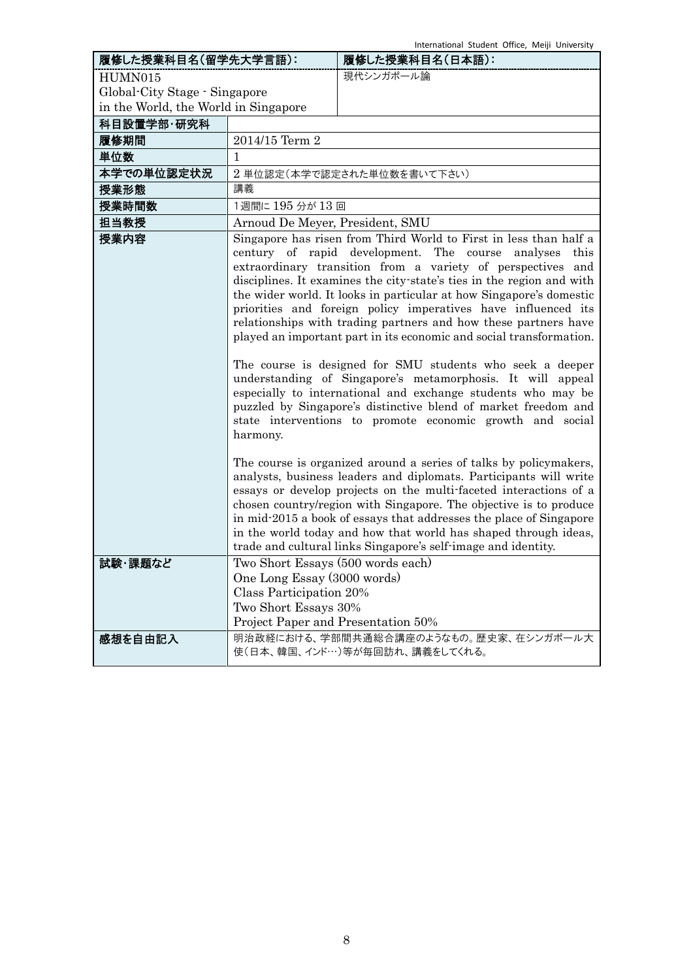| 履修した授業科目名(留学先大学言語):                  |                                                                                                                      | 履修した授業科目名(日本語):                                                                                                                                                                                                                                                                                                                                                                                                                                                                                                                                                                                                                                                                                                                                                                                                                                                                    |
|--------------------------------------|----------------------------------------------------------------------------------------------------------------------|------------------------------------------------------------------------------------------------------------------------------------------------------------------------------------------------------------------------------------------------------------------------------------------------------------------------------------------------------------------------------------------------------------------------------------------------------------------------------------------------------------------------------------------------------------------------------------------------------------------------------------------------------------------------------------------------------------------------------------------------------------------------------------------------------------------------------------------------------------------------------------|
| HUMN015                              |                                                                                                                      | 現代シンガポール論                                                                                                                                                                                                                                                                                                                                                                                                                                                                                                                                                                                                                                                                                                                                                                                                                                                                          |
| Global-City Stage - Singapore        |                                                                                                                      |                                                                                                                                                                                                                                                                                                                                                                                                                                                                                                                                                                                                                                                                                                                                                                                                                                                                                    |
| in the World, the World in Singapore |                                                                                                                      |                                                                                                                                                                                                                                                                                                                                                                                                                                                                                                                                                                                                                                                                                                                                                                                                                                                                                    |
| 科目設置学部·研究科                           |                                                                                                                      |                                                                                                                                                                                                                                                                                                                                                                                                                                                                                                                                                                                                                                                                                                                                                                                                                                                                                    |
| 履修期間                                 | 2014/15 Term 2                                                                                                       |                                                                                                                                                                                                                                                                                                                                                                                                                                                                                                                                                                                                                                                                                                                                                                                                                                                                                    |
| 単位数                                  | 1                                                                                                                    |                                                                                                                                                                                                                                                                                                                                                                                                                                                                                                                                                                                                                                                                                                                                                                                                                                                                                    |
| 本学での単位認定状況                           |                                                                                                                      | 2 単位認定(本学で認定された単位数を書いて下さい)                                                                                                                                                                                                                                                                                                                                                                                                                                                                                                                                                                                                                                                                                                                                                                                                                                                         |
| 授業形態                                 | 講義                                                                                                                   |                                                                                                                                                                                                                                                                                                                                                                                                                                                                                                                                                                                                                                                                                                                                                                                                                                                                                    |
| 授業時間数                                | 1週間に 195 分が 13 回                                                                                                     |                                                                                                                                                                                                                                                                                                                                                                                                                                                                                                                                                                                                                                                                                                                                                                                                                                                                                    |
| 担当教授                                 | Arnoud De Meyer, President, SMU                                                                                      |                                                                                                                                                                                                                                                                                                                                                                                                                                                                                                                                                                                                                                                                                                                                                                                                                                                                                    |
| 授業内容                                 | harmony.                                                                                                             | Singapore has risen from Third World to First in less than half a<br>century of rapid development. The course analyses<br>this<br>extraordinary transition from a variety of perspectives and<br>disciplines. It examines the city state's ties in the region and with<br>the wider world. It looks in particular at how Singapore's domestic<br>priorities and foreign policy imperatives have influenced its<br>relationships with trading partners and how these partners have<br>played an important part in its economic and social transformation.<br>The course is designed for SMU students who seek a deeper<br>understanding of Singapore's metamorphosis. It will appeal<br>especially to international and exchange students who may be<br>puzzled by Singapore's distinctive blend of market freedom and<br>state interventions to promote economic growth and social |
| 試験・課題など                              | Two Short Essays (500 words each)                                                                                    | The course is organized around a series of talks by policymakers,<br>analysts, business leaders and diplomats. Participants will write<br>essays or develop projects on the multi-faceted interactions of a<br>chosen country/region with Singapore. The objective is to produce<br>in mid-2015 a book of essays that addresses the place of Singapore<br>in the world today and how that world has shaped through ideas,<br>trade and cultural links Singapore's self-image and identity.                                                                                                                                                                                                                                                                                                                                                                                         |
|                                      | One Long Essay (3000 words)<br>Class Participation 20%<br>Two Short Essays 30%<br>Project Paper and Presentation 50% |                                                                                                                                                                                                                                                                                                                                                                                                                                                                                                                                                                                                                                                                                                                                                                                                                                                                                    |
| 感想を自由記入                              |                                                                                                                      | 明治政経における、学部間共通総合講座のようなもの。歴史家、在シンガポール大<br>使(日本、韓国、インド…)等が毎回訪れ、講義をしてくれる。                                                                                                                                                                                                                                                                                                                                                                                                                                                                                                                                                                                                                                                                                                                                                                                                             |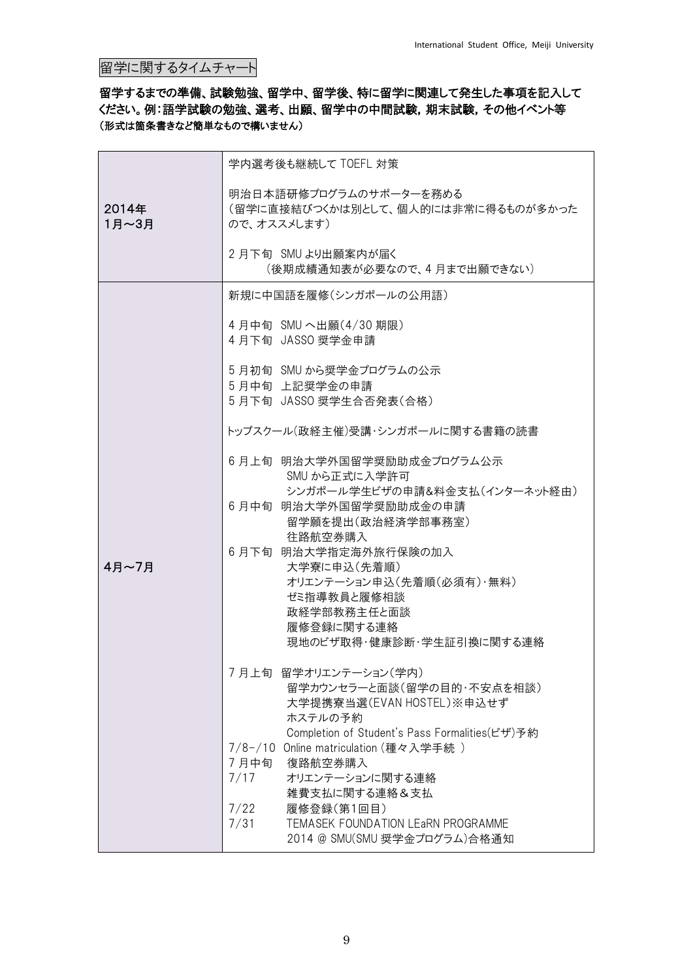# 留学に関するタイムチャート

## 留学するまでの準備、試験勉強、留学中、留学後、特に留学に関連して発生した事項を記入して ください。例:語学試験の勉強、選考、出願、留学中の中間試験,期末試験,その他イベント等 (形式は箇条書きなど簡単なもので構いません)

|                | 学内選考後も継続して TOEFL 対策                                                                                                                              |  |  |
|----------------|--------------------------------------------------------------------------------------------------------------------------------------------------|--|--|
| 2014年<br>1月~3月 | 明治日本語研修プログラムのサポーターを務める<br>(留学に直接結びつくかは別として、個人的には非常に得るものが多かった<br>ので、オススメします)                                                                      |  |  |
|                | 2月下旬 SMU より出願案内が届く<br>(後期成績通知表が必要なので、4月まで出願できない)                                                                                                 |  |  |
|                | 新規に中国語を履修(シンガポールの公用語)                                                                                                                            |  |  |
|                | 4月中旬 SMU へ出願(4/30期限)<br>4月下旬 JASSO 奨学金申請                                                                                                         |  |  |
|                | 5 月初旬 SMU から奨学金プログラムの公示<br>5月中旬 上記奨学金の申請                                                                                                         |  |  |
|                | 5月下旬 JASSO 奨学生合否発表(合格)                                                                                                                           |  |  |
|                | トップスクール(政経主催)受講・シンガポールに関する書籍の読書                                                                                                                  |  |  |
|                | 6月上旬 明治大学外国留学奨励助成金プログラム公示<br>SMU から正式に入学許可                                                                                                       |  |  |
|                | シンガポール学生ビザの申請&料金支払(インターネット経由)<br>6月中旬 明治大学外国留学奨励助成金の申請<br>留学願を提出(政治経済学部事務室)                                                                      |  |  |
|                | 往路航空券購入<br>6月下旬 明治大学指定海外旅行保険の加入                                                                                                                  |  |  |
| 4月~7月          | 大学寮に申込(先着順)<br>オリエンテーション申込(先着順(必須有)・無料)                                                                                                          |  |  |
|                | ゼミ指導教員と履修相談                                                                                                                                      |  |  |
|                | 政経学部教務主任と面談<br>履修登録に関する連絡                                                                                                                        |  |  |
|                | 現地のビザ取得・健康診断・学生証引換に関する連絡                                                                                                                         |  |  |
|                | 7月上旬 留学オリエンテーション(学内)<br>留学カウンセラーと面談(留学の目的・不安点を相談)<br>大学提携寮当選(EVAN HOSTEL)※申込せず                                                                   |  |  |
|                | ホステルの予約<br>Completion of Student's Pass Formalities(ビザ)予約<br>7/8-/10 Online matriculation (種々入学手続)<br>7月中旬<br>復路航空券購入<br>7/17<br>オリエンテーションに関する連絡 |  |  |
|                | 雑費支払に関する連絡&支払<br>7/22<br>履修登録(第1回目)<br>7/31<br>TEMASEK FOUNDATION LEARN PROGRAMME<br>2014 @ SMU(SMU 奨学金プログラム)合格通知                                |  |  |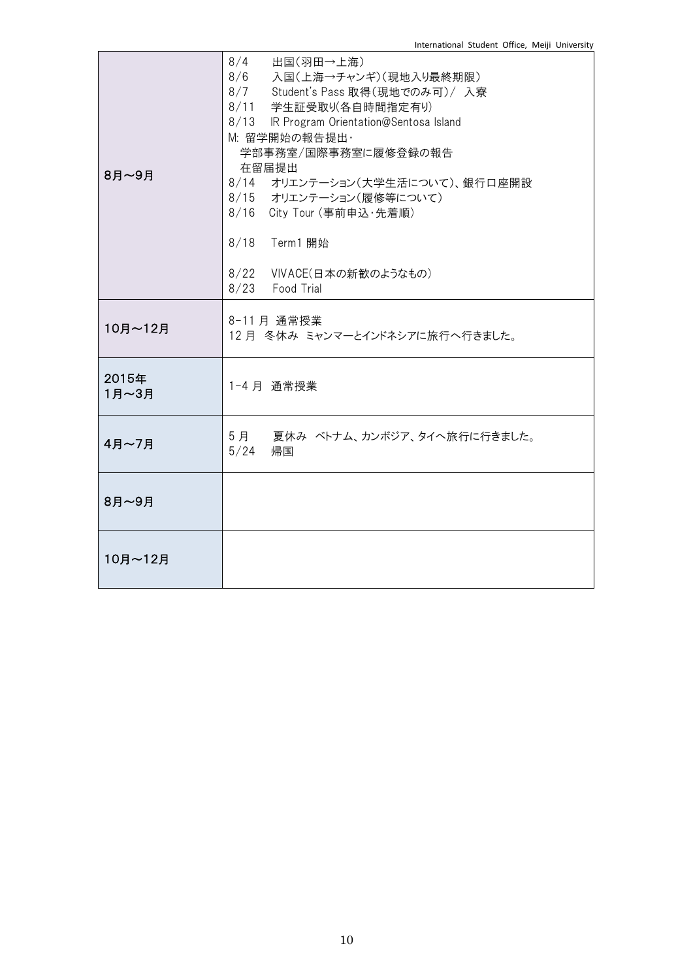| 8月~9月          | $8/4$ 出国(羽田→上海)<br>8/6 入国(上海→チャンギ)(現地入り最終期限)<br>8/7 Student's Pass 取得(現地でのみ可)/ 入寮<br>8/11 学生証受取り(各自時間指定有り)<br>8/13 IR Program Orientation@Sentosa Island<br>M: 留学開始の報告提出·<br>学部事務室/国際事務室に履修登録の報告<br>在留届提出<br>8/14 オリエンテーション(大学生活について)、銀行口座開設<br>8/15 オリエンテーション(履修等について)<br>8/16 City Tour (事前申込·先着順)<br>8/18 Term1 開始<br>8/22 VIVACE(日本の新歓のようなもの)<br>8/23 Food Trial |
|----------------|----------------------------------------------------------------------------------------------------------------------------------------------------------------------------------------------------------------------------------------------------------------------------------------------------------------------------------------------------------------------|
| 10月~12月        | 8-11月 通常授業<br>12月 冬休み ミャンマーとインドネシアに旅行へ行きました。                                                                                                                                                                                                                                                                                                                         |
| 2015年<br>1月~3月 | 1-4月 通常授業                                                                                                                                                                                                                                                                                                                                                            |
| 4月~7月          | 5月 夏休み ベトナム、カンボジア、タイへ旅行に行きました。<br>5/24<br>帰国                                                                                                                                                                                                                                                                                                                         |
| 8月~9月          |                                                                                                                                                                                                                                                                                                                                                                      |
| 10月~12月        |                                                                                                                                                                                                                                                                                                                                                                      |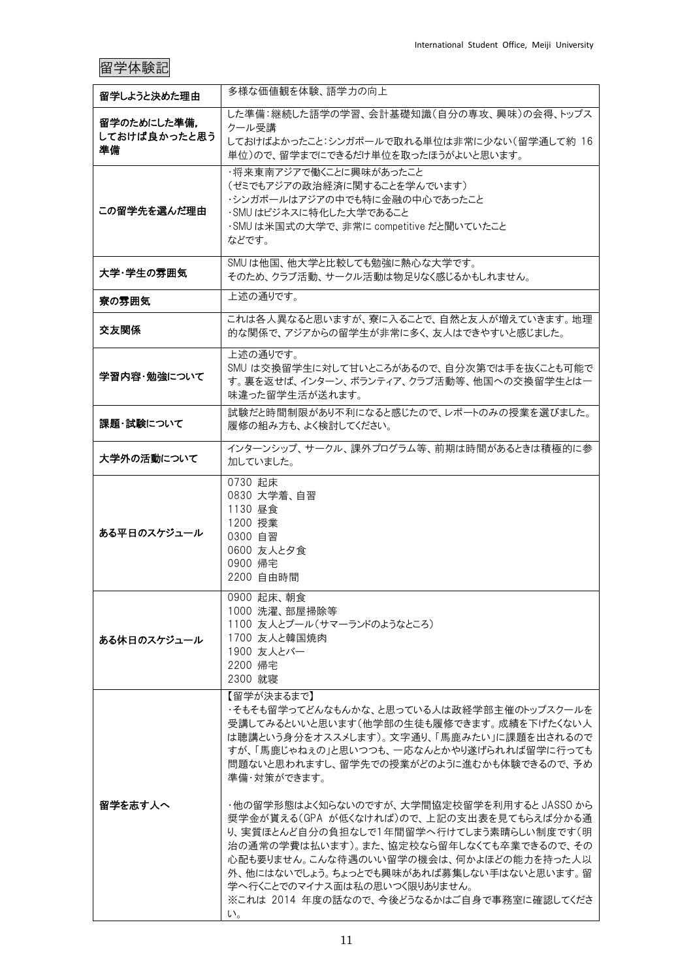# 留学体験記

| 留学しようと決めた理由                       | 多様な価値観を体験、語学力の向上                                                                                                                                                                                                                                                                                                                                                                                                                                                                                                                                                                                              |
|-----------------------------------|---------------------------------------------------------------------------------------------------------------------------------------------------------------------------------------------------------------------------------------------------------------------------------------------------------------------------------------------------------------------------------------------------------------------------------------------------------------------------------------------------------------------------------------------------------------------------------------------------------------|
| 留学のためにした準備.<br>しておけば良かったと思う<br>準備 | した準備:継続した語学の学習、会計基礎知識(自分の専攻、興味)の会得、トップス<br>クール受講<br>しておけばよかったこと:シンガポールで取れる単位は非常に少ない(留学通して約16<br>単位)ので、留学までにできるだけ単位を取ったほうがよいと思います。                                                                                                                                                                                                                                                                                                                                                                                                                                                                             |
| この留学先を選んだ理由                       | ・将来東南アジアで働くことに興味があったこと<br>(ゼミでもアジアの政治経済に関することを学んでいます)<br>・シンガポールはアジアの中でも特に金融の中心であったこと<br>・SMU はビジネスに特化した大学であること<br>·SMUは米国式の大学で、非常に competitive だと聞いていたこと<br>などです。                                                                                                                                                                                                                                                                                                                                                                                                                                            |
| 大学・学生の雰囲気                         | SMUは他国、他大学と比較しても勉強に熱心な大学です。<br>そのため、クラブ活動、サークル活動は物足りなく感じるかもしれません。                                                                                                                                                                                                                                                                                                                                                                                                                                                                                                                                             |
| 寮の雰囲気                             | 上述の通りです。                                                                                                                                                                                                                                                                                                                                                                                                                                                                                                                                                                                                      |
| 交友関係                              | これは各人異なると思いますが、寮に入ることで、自然と友人が増えていきます。地理<br>的な関係で、アジアからの留学生が非常に多く、友人はできやすいと感じました。                                                                                                                                                                                                                                                                                                                                                                                                                                                                                                                              |
| 学習内容・勉強について                       | 上述の通りです。<br>SMU は交換留学生に対して甘いところがあるので、自分次第では手を抜くことも可能で<br>す。裏を返せば、インターン、ボランティア、クラブ活動等、他国への交換留学生とは一<br>味違った留学生活が送れます。                                                                                                                                                                                                                                                                                                                                                                                                                                                                                           |
| 課題・試験について                         | 試験だと時間制限があり不利になると感じたので、レポートのみの授業を選びました。<br>履修の組み方も、よく検討してください。                                                                                                                                                                                                                                                                                                                                                                                                                                                                                                                                                |
| 大学外の活動について                        | インターンシップ、サークル、課外プログラム等、前期は時間があるときは積極的に参<br>加していました。                                                                                                                                                                                                                                                                                                                                                                                                                                                                                                                                                           |
| ある平日のスケジュール                       | 0730 起床<br>0830 大学着、自習<br>1130 昼食<br>1200 授業<br>0300 自習<br>0600 友人と夕食<br>0900 帰宅<br>2200 自由時間                                                                                                                                                                                                                                                                                                                                                                                                                                                                                                                 |
| ある休日のスケジュール                       | 0900 起床、朝食<br>1000 洗濯、部屋掃除等<br>1100 友人とプール(サマーランドのようなところ)<br>1700 友人と韓国焼肉<br>1900 友人とバー<br>2200 帰宅<br>2300 就寝                                                                                                                                                                                                                                                                                                                                                                                                                                                                                                 |
| 留学を志す人へ                           | 【留学が決まるまで】<br>・そもそも留学ってどんなもんかな、と思っている人は政経学部主催のトップスクールを<br>受講してみるといいと思います(他学部の生徒も履修できます。成績を下げたくない人<br>は聴講という身分をオススメします)。文字通り、「馬鹿みたい」に課題を出されるので<br>すが、「馬鹿じゃねぇの」と思いつつも、一応なんとかやり遂げられれば留学に行っても<br>問題ないと思われますし、留学先での授業がどのように進むかも体験できるので、予め<br>準備・対策ができます。<br>・他の留学形態はよく知らないのですが、大学間協定校留学を利用すると JASSO から<br>奨学金が貰える(GPA が低くなければ)ので、上記の支出表を見てもらえば分かる通<br>り、実質ほとんど自分の負担なしで1年間留学へ行けてしまう素晴らしい制度です(明<br>治の通常の学費は払います)。また、協定校なら留年しなくても卒業できるので、その<br>心配も要りません。こんな待遇のいい留学の機会は、何かよほどの能力を持った人以<br>外、他にはないでしょう。ちょっとでも興味があれば募集しない手はないと思います。 留<br>学へ行くことでのマイナス面は私の思いつく限りありません。<br>※これは 2014 年度の話なので、今後どうなるかはご自身で事務室に確認してくださ<br>い。 |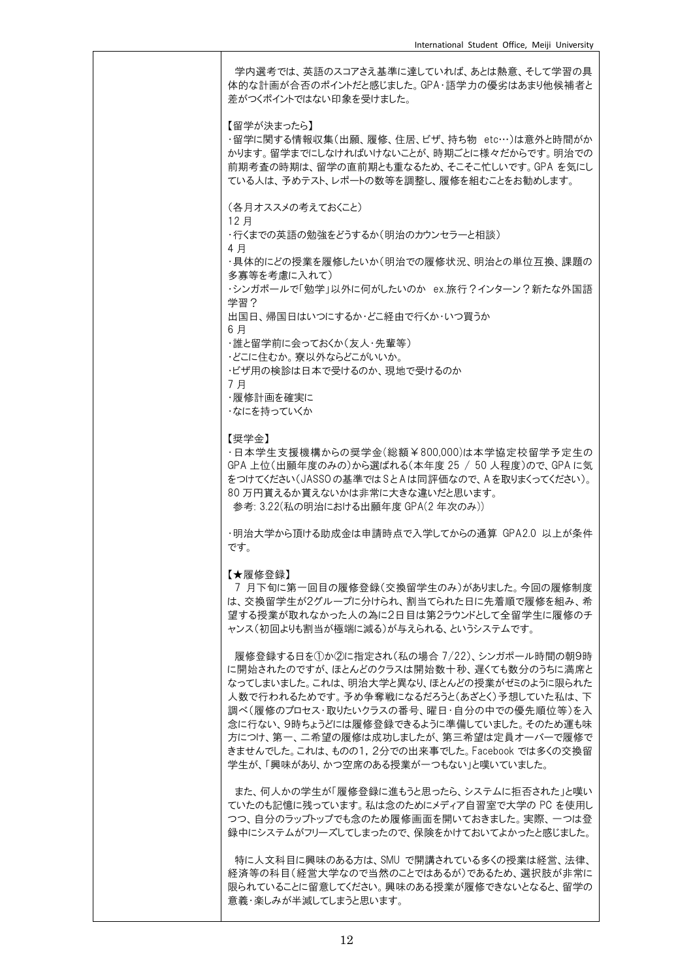| 学内選考では、英語のスコアさえ基準に達していれば、あとは熱意、そして学習の具<br>体的な計画が合否のポイントだと感じました。GPA・語学力の優劣はあまり他候補者と<br>差がつくポイントではない印象を受けました。                                                                                                                                                                                                                                                                                            |
|--------------------------------------------------------------------------------------------------------------------------------------------------------------------------------------------------------------------------------------------------------------------------------------------------------------------------------------------------------------------------------------------------------|
| 【留学が決まったら】<br>・留学に関する情報収集(出願、履修、住居、ビザ、持ち物 etc…)は意外と時間がか<br>かります。留学までにしなければいけないことが、時期ごとに様々だからです。明治での<br>前期考査の時期は、留学の直前期とも重なるため、そこそこ忙しいです。 GPA を気にし<br>ている人は、予めテスト、レポートの数等を調整し、履修を組むことをお勧めします。                                                                                                                                                                                                           |
| (各月オススメの考えておくこと)<br>12 月                                                                                                                                                                                                                                                                                                                                                                               |
| ・行くまでの英語の勉強をどうするか(明治のカウンセラーと相談)<br>4 月                                                                                                                                                                                                                                                                                                                                                                 |
| ・具体的にどの授業を履修したいか(明治での履修状況、明治との単位互換、課題の<br>多寡等を考慮に入れて)                                                                                                                                                                                                                                                                                                                                                  |
| ・シンガポールで「勉学」以外に何がしたいのか ex.旅行?インターン?新たな外国語<br>学習?                                                                                                                                                                                                                                                                                                                                                       |
| 出国日、帰国日はいつにするか・どこ経由で行くか・いつ買うか<br>6 月                                                                                                                                                                                                                                                                                                                                                                   |
| ・誰と留学前に会っておくか(友人・先輩等)<br>・どこに住むか。寮以外ならどこがいいか。                                                                                                                                                                                                                                                                                                                                                          |
| ・ビザ用の検診は日本で受けるのか、現地で受けるのか<br>7月                                                                                                                                                                                                                                                                                                                                                                        |
| ・履修計画を確実に<br>・なにを持っていくか                                                                                                                                                                                                                                                                                                                                                                                |
| 【奨学金】                                                                                                                                                                                                                                                                                                                                                                                                  |
| ·日本学生支援機構からの奨学金(総額¥800,000)は本学協定校留学予定生の<br>GPA 上位(出願年度のみの)から選ばれる(本年度 25 / 50 人程度)ので、GPA に気<br>をつけてください(JASSOの基準ではSとAは同評価なので、Aを取りまくってください)。<br>80 万円貰えるか貰えないかは非常に大きな違いだと思います。<br>参考: 3.22(私の明治における出願年度 GPA(2 年次のみ))                                                                                                                                                                                     |
| ・明治大学から頂ける助成金は申請時点で入学してからの通算 GPA2.0 以上が条件<br>です。                                                                                                                                                                                                                                                                                                                                                       |
| 【★履修登録】<br>7 月下旬に第一回目の履修登録(交換留学生のみ)がありました。今回の履修制度                                                                                                                                                                                                                                                                                                                                                      |
| は、交換留学生が2グループに分けられ、割当てられた日に先着順で履修を組み、希<br>望する授業が取れなかった人の為に2日目は第2ラウンドとして全留学生に履修のチ<br>ャンス(初回よりも割当が極端に減る)が与えられる、というシステムです。                                                                                                                                                                                                                                                                                |
| 履修登録する日を①か②に指定され(私の場合 7/22)、シンガポール時間の朝9時<br>に開始されたのですが、ほとんどのクラスは開始数十秒、遅くても数分のうちに満席と<br>なってしまいました。これは、明治大学と異なり、ほとんどの授業がゼミのように限られた<br>人数で行われるためです。予め争奪戦になるだろうと(あざとく)予想していた私は、下<br>調べ(履修のプロセス・取りたいクラスの番号、曜日・自分の中での優先順位等)を入<br>念に行ない、9時ちょうどには履修登録できるように準備していました。そのため運も味<br>方につけ、第一、二希望の履修は成功しましたが、第三希望は定員オーバーで履修で<br>きませんでした。これは、ものの1,2分での出来事でした。Facebook では多くの交換留<br>学生が、「興味があり、かつ空席のある授業が一つもない」と嘆いていました。 |
| また、何人かの学生が「履修登録に進もうと思ったら、システムに拒否された」と嘆い<br>ていたのも記憶に残っています。 私は念のためにメディア自習室で大学の PC を使用し<br>つつ、自分のラップトップでも念のため履修画面を開いておきました。 実際、一つは登<br>録中にシステムがフリーズしてしまったので、保険をかけておいてよかったと感じました。                                                                                                                                                                                                                         |
| 特に人文科目に興味のある方は、SMU で開講されている多くの授業は経営、法律、<br>経済等の科目(経営大学なので当然のことではあるが)であるため、選択肢が非常に<br>限られていることに留意してください。 興味のある授業が履修できないとなると、留学の<br>意義・楽しみが半減してしまうと思います。                                                                                                                                                                                                                                                 |